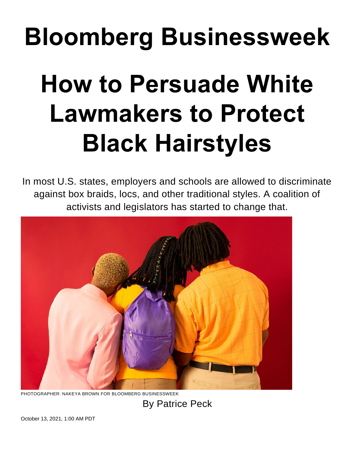## **Bloomberg Businessweek**

## **How to Persuade White Lawmakers to Protect Black Hairstyles**

In most U.S. states, employers and schools are allowed to discriminate against box braids, locs, and other traditional styles. A coalition of activists and legislators has started to change that.



PHOTOGRAPHER: NAKEYA BROWN FOR BLOOMBERG BUSINESSWEEK

By Patrice Peck

October 13, 2021, 1:00 AM PDT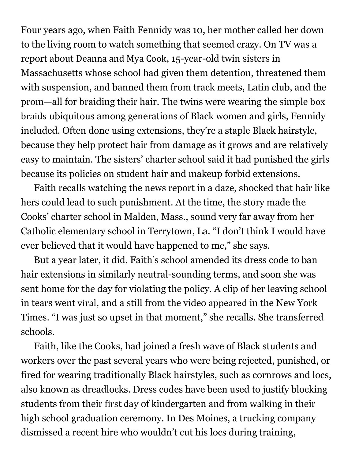Four years ago, when Faith Fennidy was 10, her mother called her down to the living room to watch something that seemed crazy. On TV was a report about [Deanna](https://www.npr.org/sections/ed/2017/07/17/534448313/when-black-hair-violates-the-dress-code) and Mya Cook, 15-year-old twin sisters in Massachusetts whose school had given them detention, threatened them with suspension, and banned them from track meets, Latin club, and the prom—all for braiding their hair. The twins were wearing the simple [box](https://www.goodhousekeeping.com/beauty/hair/a34292308/box-braids/) [braids](https://www.goodhousekeeping.com/beauty/hair/a34292308/box-braids/) ubiquitous among generations of Black women and girls, Fennidy included. Often done using extensions, they're a staple Black hairstyle, because they help protect hair from damage as it grows and are relatively easy to maintain. The sisters' charter school said it had punished the girls because its policies on student hair and makeup forbid extensions.

Faith recalls watching the news report in a daze, shocked that hair like hers could lead to such punishment. At the time, the story made the Cooks' charter school in Malden, Mass., sound very far away from her Catholic elementary school in Terrytown, La. "I don't think I would have ever believed that it would have happened to me," she says.

But a year later, it did. Faith's school amended its dress code to ban hair extensions in similarly neutral-sounding terms, and soon she was sent home for the day for violating the policy. A clip of her leaving school in tears went [viral](https://www.cbsnews.com/news/video-shows-girl-in-tears-after-she-was-told-to-leave-school-because-of-braided-hair-family-says/), and a still from the video [appeared](https://www.nytimes.com/2018/08/21/us/black-student-extensions-louisiana.html) in the New York Times. "I was just so upset in that moment," she recalls. She transferred schools.

Faith, like the Cooks, had joined a fresh wave of Black students and workers over the past several years who were being rejected, punished, or fired for wearing traditionally Black hairstyles, such as cornrows and locs, also known as dreadlocks. Dress codes have been used to justify blocking students from their [first](https://www.usatoday.com/story/news/nation-now/2018/08/16/florida-school-faces-backlash-rejecting-6-year-old-dreadlocks/1010132002/) day of kindergarten and from [walking](https://www.nbcnews.com/news/us-news/black-texas-teen-told-cut-his-dreadlocks-order-walk-graduation-n1120731) in their high school graduation ceremony. In Des Moines, a trucking company dismissed a recent hire who wouldn't cut his locs during training,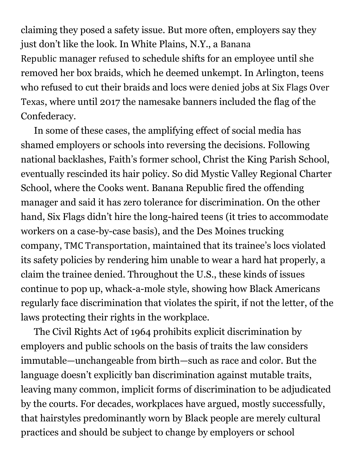claiming they posed a safety issue. But more often, employers say they just don't like the look. In White Plains, N.Y., a [Banana](https://www.bloomberg.com/quote/0125538D:US) [Republic](https://www.bloomberg.com/quote/0125538D:US) manager [refused](https://www.glamour.com/story/banana-republic-employee-destiny-tompkins-says-she-was-told-box-braids-looked-too-urban) to schedule shifts for an employee until she removed her box braids, which he deemed unkempt. In Arlington, teens who refused to cut their braids and locs were [denied](https://www.nydailynews.com/news/national/ny-two-black-teens-denied-jobs-six-flags-extreme-hairstyles-20190402-a3rrwjrupfcj5nil25zft3sg6m-story.html) jobs at Six [Flags](https://www.bloomberg.com/quote/0213902D:US) Over [Texas](https://www.bloomberg.com/quote/0213902D:US), where until 2017 the namesake banners included the flag of the Confederacy.

In some of these cases, the amplifying effect of social media has shamed employers or schools into reversing the decisions. Following national backlashes, Faith's former school, Christ the King Parish School, eventually rescinded its hair policy. So did Mystic Valley Regional Charter School, where the Cooks went. Banana Republic fired the offending manager and said it has zero tolerance for discrimination. On the other hand, Six Flags didn't hire the long-haired teens (it tries to accommodate workers on a case-by-case basis), and the Des Moines trucking company, TMC [Transportation](https://www.bloomberg.com/quote/0396713Z:US), maintained that its trainee's locs violated its safety policies by rendering him unable to wear a hard hat properly, a claim the trainee denied. Throughout the U.S., these kinds of issues continue to pop up, whack-a-mole style, showing how Black Americans regularly face discrimination that violates the spirit, if not the letter, of the laws protecting their rights in the workplace.

The Civil Rights Act of 1964 prohibits explicit discrimination by employers and public schools on the basis of traits the law considers immutable—unchangeable from birth—such as race and color. But the language doesn't explicitly ban discrimination against mutable traits, leaving many common, implicit forms of discrimination to be adjudicated by the courts. For decades, workplaces have argued, mostly successfully, that hairstyles predominantly worn by Black people are merely cultural practices and should be subject to change by employers or school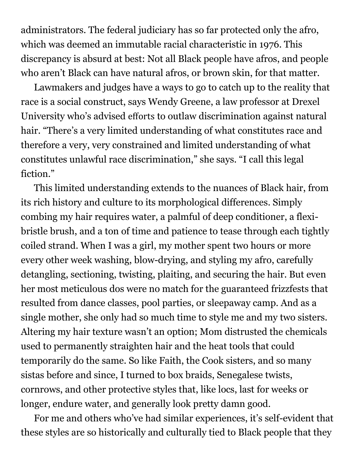administrators. The federal judiciary has so far protected only the afro, which was deemed an immutable racial characteristic in 1976. This discrepancy is absurd at best: Not all Black people have afros, and people who aren't Black can have natural afros, or brown skin, for that matter.

Lawmakers and judges have a ways to go to catch up to the reality that race is a social construct, says Wendy Greene, a law professor at Drexel University who's advised [efforts](https://freethehair.com/leadership) to outlaw discrimination against natural hair. "There's a very limited understanding of what constitutes race and therefore a very, very constrained and limited understanding of what constitutes unlawful race discrimination," she says. "I call this legal fiction."

This limited understanding extends to the nuances of Black hair, from its rich history and culture to its morphological differences. Simply combing my hair requires water, a palmful of deep conditioner, a flexibristle brush, and a ton of time and patience to tease through each tightly coiled strand. When I was a girl, my mother spent two hours or more every other week washing, blow-drying, and styling my afro, carefully detangling, sectioning, twisting, plaiting, and securing the hair. But even her most meticulous dos were no match for the guaranteed frizzfests that resulted from dance classes, pool parties, or sleepaway camp. And as a single mother, she only had so much time to style me and my two sisters. Altering my hair texture wasn't an option; Mom distrusted the chemicals used to permanently straighten hair and the heat tools that could temporarily do the same. So like Faith, the Cook sisters, and so many sistas before and since, I turned to box braids, Senegalese twists, cornrows, and other protective styles that, like locs, last for weeks or longer, endure water, and generally look pretty damn good.

For me and others who've had similar experiences, it's self-evident that these styles are so historically and culturally tied to Black people that they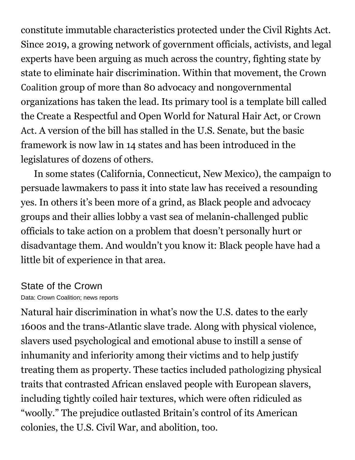constitute immutable characteristics protected under the Civil Rights Act. Since 2019, a growing network of government officials, activists, and legal experts have been arguing as much across the country, fighting state by state to eliminate hair discrimination. Within that movement, the [Crown](https://www.crowncoalition.com/) [Coalition](https://www.crowncoalition.com/) group of more than 80 advocacy and nongovernmental organizations has taken the lead. Its primary tool is a template bill called the Create a Respectful and Open World for Natural Hair Act, or [Crown](https://www.thecrownact.com/) [Act](https://www.thecrownact.com/). A version of the bill has stalled in the U.S. Senate, but the basic framework is now law in 14 states and has been introduced in the legislatures of dozens of others.

In some states (California, Connecticut, New Mexico), the campaign to persuade lawmakers to pass it into state law has received a resounding yes. In others it's been more of a grind, as Black people and advocacy groups and their allies lobby a vast sea of melanin-challenged public officials to take action on a problem that doesn't personally hurt or disadvantage them. And wouldn't you know it: Black people have had a little bit of experience in that area.

## State of the Crown

Data: Crown Coalition; news reports

Natural hair discrimination in what's now the U.S. dates to the early 1600s and the trans-Atlantic slave trade. Along with physical violence, slavers used psychological and emotional abuse to instill a sense of inhumanity and inferiority among their victims and to help justify treating them as property. These tactics included [pathologizing](https://www.cbc.ca/radio/ideas/tangled-roots-decoding-the-history-of-black-hair-1.5891778) physical traits that contrasted African enslaved people with European slavers, including tightly coiled hair textures, which were often ridiculed as "woolly." The prejudice outlasted Britain's control of its American colonies, the U.S. Civil War, and abolition, too.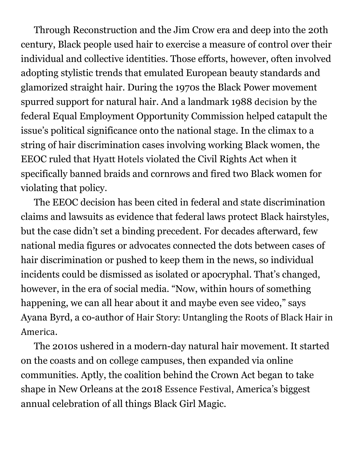Through Reconstruction and the Jim Crow era and deep into the 20th century, Black people used hair to exercise a measure of control over their individual and collective identities. Those efforts, however, often involved adopting stylistic trends that emulated European beauty standards and glamorized straight hair. During the 1970s the Black Power movement spurred support for natural hair. And a landmark 1988 [decision](https://www.latimes.com/archives/la-xpm-1988-05-17-fi-2915-story.html) by the federal Equal Employment Opportunity Commission helped catapult the issue's political significance onto the national stage. In the climax to a string of hair discrimination cases involving working Black women, the EEOC ruled that Hyatt [Hotels](https://www.bloomberg.com/quote/H:US) violated the Civil Rights Act when it specifically banned braids and cornrows and fired two Black women for violating that policy.

The EEOC decision has been cited in federal and state discrimination claims and lawsuits as evidence that federal laws protect Black hairstyles, but the case didn't set a binding precedent. For decades afterward, few national media figures or advocates connected the dots between cases of hair discrimination or pushed to keep them in the news, so individual incidents could be dismissed as isolated or apocryphal. That's changed, however, in the era of social media. "Now, within hours of something happening, we can all hear about it and maybe even see video," says Ayana Byrd, a co-author of Hair Story: [Untangling](https://us.macmillan.com/books/9781250046574/hair-story) the Roots of Black Hair in [America](https://us.macmillan.com/books/9781250046574/hair-story).

The 2010s ushered in a modern-day natural hair movement. It started on the coasts and on college campuses, then expanded via online communities. Aptly, the coalition behind the Crown Act began to take shape in New Orleans at the 2018 [Essence](https://www.essence.com/festival2021/) Festival, America's biggest annual celebration of all things Black Girl Magic.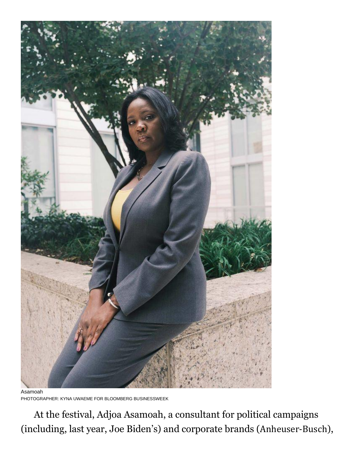

Asamoah PHOTOGRAPHER: KYNA UWAEME FOR BLOOMBERG BUSINESSWEEK

At the festival, Adjoa Asamoah, a consultant for political campaigns (including, last year, Joe Biden's) and corporate brands ([Anheuser-Busch](https://www.bloomberg.com/quote/ABI:BB)),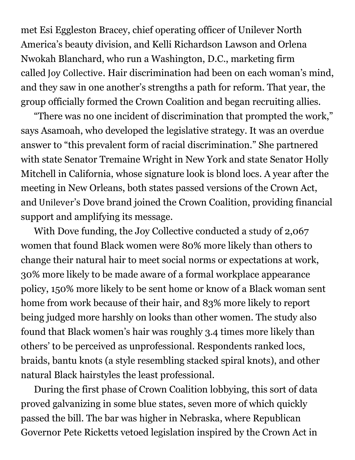met Esi Eggleston Bracey, chief operating officer of Unilever North America's beauty division, and Kelli Richardson Lawson and Orlena Nwokah Blanchard, who run a Washington, D.C., marketing firm called Joy [Collective](https://joycollective.com/). Hair discrimination had been on each woman's mind, and they saw in one another's strengths a path for reform. That year, the group officially formed the Crown Coalition and began recruiting allies.

"There was no one incident of discrimination that prompted the work," says Asamoah, who developed the legislative strategy. It was an overdue answer to "this prevalent form of racial discrimination." She partnered with state Senator Tremaine Wright in New York and state Senator Holly Mitchell in California, whose signature look is blond locs. A year after the meeting in New Orleans, both states passed versions of the Crown Act, and [Unilever](https://www.bloomberg.com/quote/ULVR:LN)'s Dove brand joined the Crown Coalition, providing financial support and amplifying its message.

With Dove funding, the Joy Collective conducted a [study](https://static1.squarespace.com/static/5edc69fd622c36173f56651f/t/5edeaa2fe5ddef345e087361/1591650865168/Dove_research_brochure2020_FINAL3.pdf) of 2,067 women that found Black women were 80% more likely than others to change their natural hair to meet social norms or expectations at work, 30% more likely to be made aware of a formal workplace appearance policy, 150% more likely to be sent home or know of a Black woman sent home from work because of their hair, and 83% more likely to report being judged more harshly on looks than other women. The study also found that Black women's hair was roughly 3.4 times more likely than others' to be perceived as unprofessional. Respondents ranked locs, braids, bantu knots (a style resembling stacked spiral knots), and other natural Black hairstyles the least professional.

During the first phase of Crown Coalition lobbying, this sort of data proved galvanizing in some blue states, seven more of which quickly passed the bill. The bar was higher in Nebraska, where Republican Governor Pete Ricketts vetoed legislation inspired by the Crown Act in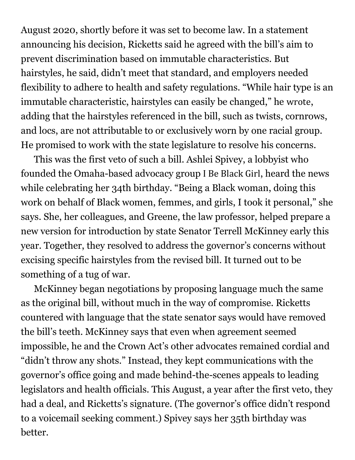August 2020, shortly before it was set to become law. In a statement announcing his decision, Ricketts said he agreed with the bill's aim to prevent discrimination based on immutable characteristics. But hairstyles, he said, didn't meet that standard, and employers needed flexibility to adhere to health and safety regulations. "While hair type is an immutable characteristic, hairstyles can easily be changed," he [wrote](https://www.3newsnow.com/news/local-news/gov-ricketts-vetoes-hair-discrimination-bill), adding that the hairstyles referenced in the bill, such as twists, cornrows, and locs, are not attributable to or exclusively worn by one racial group. He promised to work with the state legislature to resolve his concerns.

This was the first veto of such a bill. Ashlei Spivey, a lobbyist who founded the Omaha-based advocacy group I Be [Black](https://www.ibeblackgirl.com/) Girl, heard the news while celebrating her 34th birthday. "Being a Black woman, doing this work on behalf of Black women, femmes, and girls, I took it personal," she says. She, her colleagues, and Greene, the law professor, helped prepare a new version for introduction by state Senator Terrell McKinney early this year. Together, they resolved to address the governor's concerns without excising specific hairstyles from the revised bill. It turned out to be something of a tug of war.

McKinney began negotiations by proposing language much the same as the original bill, without much in the way of compromise. Ricketts countered with language that the state senator says would have removed the bill's teeth. McKinney says that even when agreement seemed impossible, he and the Crown Act's other advocates remained cordial and "didn't throw any shots." Instead, they kept communications with the governor's office going and made behind-the-scenes appeals to leading legislators and health officials. This August, a year after the first veto, they had a deal, and Ricketts's signature. (The governor's office didn't respond to a voicemail seeking comment.) Spivey says her 35th birthday was better.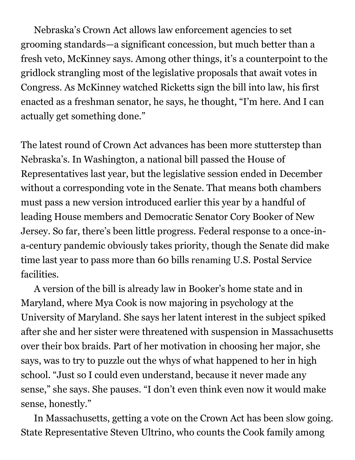Nebraska's Crown Act allows law enforcement agencies to set grooming standards—a significant concession, but much better than a fresh veto, McKinney says. Among other things, it's a counterpoint to the gridlock strangling most of the legislative proposals that await votes in Congress. As McKinney watched Ricketts sign the bill into law, his first enacted as a freshman senator, he says, he thought, "I'm here. And I can actually get something done."

The latest round of Crown Act advances has been more stutterstep than Nebraska's. In Washington, a national bill passed the House of Representatives last year, but the legislative session ended in December without a corresponding vote in the Senate. That means both chambers must pass a new version introduced earlier this year by a handful of leading House members and Democratic Senator Cory Booker of New Jersey. So far, there's been little progress. Federal response to a once-ina-century pandemic obviously takes priority, though the Senate did make time last year to pass more than 60 bills [renaming](https://en.wikipedia.org/wiki/List_of_acts_of_the_116th_United_States_Congress) U.S. Postal Service facilities.

A version of the bill is already law in Booker's home state and in Maryland, where Mya Cook is now majoring in psychology at the University of Maryland. She says her latent interest in the subject spiked after she and her sister were threatened with suspension in Massachusetts over their box braids. Part of her motivation in choosing her major, she says, was to try to puzzle out the whys of what happened to her in high school. "Just so I could even understand, because it never made any sense," she says. She pauses. "I don't even think even now it would make sense, honestly."

In Massachusetts, getting a vote on the Crown Act has been slow going. State Representative Steven Ultrino, who counts the Cook family among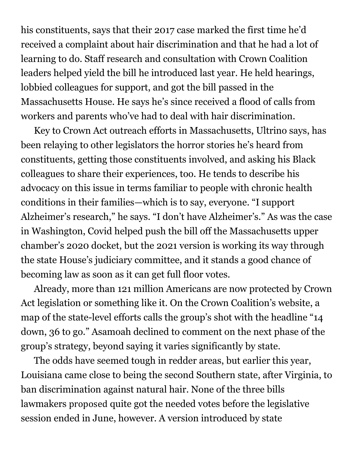his constituents, says that their 2017 case marked the first time he'd received a complaint about hair discrimination and that he had a lot of learning to do. Staff research and consultation with Crown Coalition leaders helped yield the bill he introduced last year. He held hearings, lobbied colleagues for support, and got the bill passed in the Massachusetts House. He says he's since received a flood of calls from workers and parents who've had to deal with hair discrimination.

Key to Crown Act outreach efforts in Massachusetts, Ultrino says, has been relaying to other legislators the horror stories he's heard from constituents, getting those constituents involved, and asking his Black colleagues to share their experiences, too. He tends to describe his advocacy on this issue in terms familiar to people with chronic health conditions in their families—which is to say, everyone. "I support Alzheimer's research," he says. "I don't have Alzheimer's." As was the case in Washington, Covid helped push the bill off the Massachusetts upper chamber's 2020 docket, but the 2021 version is working its way through the state House's judiciary committee, and it stands a good chance of becoming law as soon as it can get full floor votes.

Already, more than 121 million Americans are now protected by Crown Act legislation or something like it. On the Crown Coalition's website, a map of the state-level efforts calls the group's shot with the headline "14 down, 36 to go." Asamoah declined to comment on the next phase of the group's strategy, beyond saying it varies significantly by state.

The odds have seemed tough in redder areas, but earlier this year, Louisiana came close to being the second Southern state, after Virginia, to ban discrimination against natural hair. None of the three bills lawmakers [proposed](https://lailluminator.com/2021/06/10/black-employees-wont-see-protections-against-discrimination-for-wearing-natural-hair-from-louisiana-legislature/) quite got the needed votes before the legislative session ended in June, however. A version introduced by state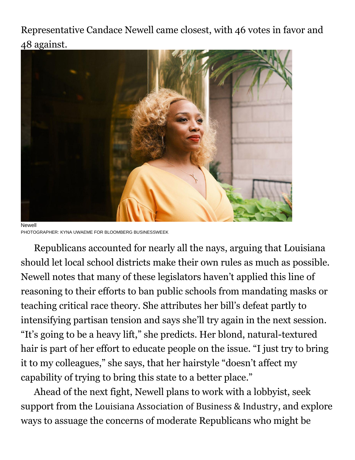Representative Candace Newell came closest, with 46 votes in favor and 48 against.



Newell PHOTOGRAPHER: KYNA UWAEME FOR BLOOMBERG BUSINESSWEEK

Republicans accounted for nearly all the nays, arguing that Louisiana should let local school districts make their own rules as much as possible. Newell notes that many of these legislators haven't applied this line of reasoning to their efforts to ban public schools from mandating masks or teaching critical race theory. She attributes her bill's defeat partly to intensifying partisan tension and says she'll try again in the next session. "It's going to be a heavy lift," she predicts. Her blond, natural-textured hair is part of her effort to educate people on the issue. "I just try to bring it to my colleagues," she says, that her hairstyle "doesn't affect my capability of trying to bring this state to a better place."

Ahead of the next fight, Newell plans to work with a lobbyist, seek support from the Louisiana [Association](https://www.bloomberg.com/quote/0746018D:US) of Business & Industry, and explore ways to assuage the concerns of moderate Republicans who might be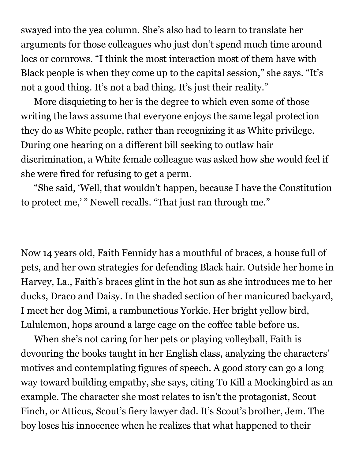swayed into the yea column. She's also had to learn to translate her arguments for those colleagues who just don't spend much time around locs or cornrows. "I think the most interaction most of them have with Black people is when they come up to the capital session," she says. "It's not a good thing. It's not a bad thing. It's just their reality."

More disquieting to her is the degree to which even some of those writing the laws assume that everyone enjoys the same legal protection they do as White people, rather than recognizing it as White privilege. During one hearing on a different bill seeking to outlaw hair discrimination, a White female colleague was asked how she would feel if she were fired for refusing to get a perm.

"She said, 'Well, that wouldn't happen, because I have the Constitution to protect me,'" Newell recalls. "That just ran through me."

Now 14 years old, Faith Fennidy has a mouthful of braces, a house full of pets, and her own strategies for defending Black hair. Outside her home in Harvey, La., Faith's braces glint in the hot sun as she introduces me to her ducks, Draco and Daisy. In the shaded section of her manicured backyard, I meet her dog Mimi, a rambunctious Yorkie. Her bright yellow bird, Lululemon, hops around a large cage on the coffee table before us.

When she's not caring for her pets or playing volleyball, Faith is devouring the books taught in her English class, analyzing the characters' motives and contemplating figures of speech. A good story can go a long way toward building empathy, she says, citing To Kill a Mockingbird as an example. The character she most relates to isn't the protagonist, Scout Finch, or Atticus, Scout's fiery lawyer dad. It's Scout's brother, Jem. The boy loses his innocence when he realizes that what happened to their